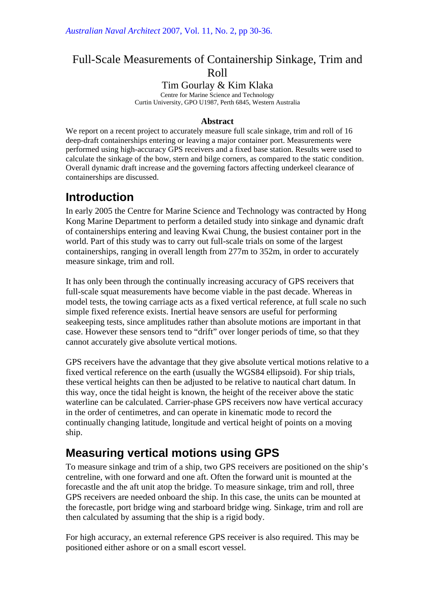## Full-Scale Measurements of Containership Sinkage, Trim and Roll

### Tim Gourlay & Kim Klaka

Centre for Marine Science and Technology Curtin University, GPO U1987, Perth 6845, Western Australia

#### **Abstract**

We report on a recent project to accurately measure full scale sinkage, trim and roll of 16 deep-draft containerships entering or leaving a major container port. Measurements were performed using high-accuracy GPS receivers and a fixed base station. Results were used to calculate the sinkage of the bow, stern and bilge corners, as compared to the static condition. Overall dynamic draft increase and the governing factors affecting underkeel clearance of containerships are discussed.

# **Introduction**

In early 2005 the Centre for Marine Science and Technology was contracted by Hong Kong Marine Department to perform a detailed study into sinkage and dynamic draft of containerships entering and leaving Kwai Chung, the busiest container port in the world. Part of this study was to carry out full-scale trials on some of the largest containerships, ranging in overall length from 277m to 352m, in order to accurately measure sinkage, trim and roll.

It has only been through the continually increasing accuracy of GPS receivers that full-scale squat measurements have become viable in the past decade. Whereas in model tests, the towing carriage acts as a fixed vertical reference, at full scale no such simple fixed reference exists. Inertial heave sensors are useful for performing seakeeping tests, since amplitudes rather than absolute motions are important in that case. However these sensors tend to "drift" over longer periods of time, so that they cannot accurately give absolute vertical motions.

GPS receivers have the advantage that they give absolute vertical motions relative to a fixed vertical reference on the earth (usually the WGS84 ellipsoid). For ship trials, these vertical heights can then be adjusted to be relative to nautical chart datum. In this way, once the tidal height is known, the height of the receiver above the static waterline can be calculated. Carrier-phase GPS receivers now have vertical accuracy in the order of centimetres, and can operate in kinematic mode to record the continually changing latitude, longitude and vertical height of points on a moving ship.

# **Measuring vertical motions using GPS**

To measure sinkage and trim of a ship, two GPS receivers are positioned on the ship's centreline, with one forward and one aft. Often the forward unit is mounted at the forecastle and the aft unit atop the bridge. To measure sinkage, trim and roll, three GPS receivers are needed onboard the ship. In this case, the units can be mounted at the forecastle, port bridge wing and starboard bridge wing. Sinkage, trim and roll are then calculated by assuming that the ship is a rigid body.

For high accuracy, an external reference GPS receiver is also required. This may be positioned either ashore or on a small escort vessel.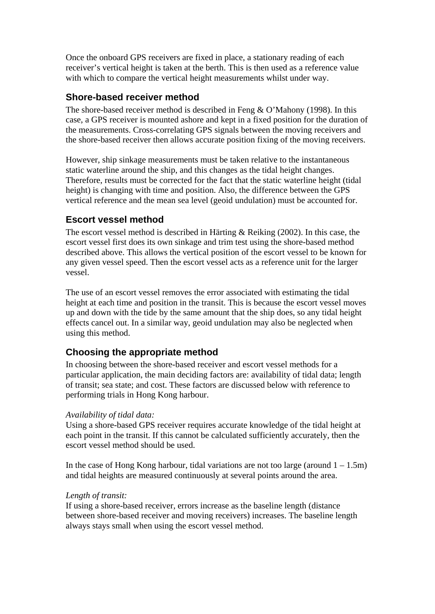Once the onboard GPS receivers are fixed in place, a stationary reading of each receiver's vertical height is taken at the berth. This is then used as a reference value with which to compare the vertical height measurements whilst under way.

### **Shore-based receiver method**

The shore-based receiver method is described in Feng & O'Mahony (1998). In this case, a GPS receiver is mounted ashore and kept in a fixed position for the duration of the measurements. Cross-correlating GPS signals between the moving receivers and the shore-based receiver then allows accurate position fixing of the moving receivers.

However, ship sinkage measurements must be taken relative to the instantaneous static waterline around the ship, and this changes as the tidal height changes. Therefore, results must be corrected for the fact that the static waterline height (tidal height) is changing with time and position. Also, the difference between the GPS vertical reference and the mean sea level (geoid undulation) must be accounted for.

#### **Escort vessel method**

The escort vessel method is described in Härting & Reiking (2002). In this case, the escort vessel first does its own sinkage and trim test using the shore-based method described above. This allows the vertical position of the escort vessel to be known for any given vessel speed. Then the escort vessel acts as a reference unit for the larger vessel.

The use of an escort vessel removes the error associated with estimating the tidal height at each time and position in the transit. This is because the escort vessel moves up and down with the tide by the same amount that the ship does, so any tidal height effects cancel out. In a similar way, geoid undulation may also be neglected when using this method.

### **Choosing the appropriate method**

In choosing between the shore-based receiver and escort vessel methods for a particular application, the main deciding factors are: availability of tidal data; length of transit; sea state; and cost. These factors are discussed below with reference to performing trials in Hong Kong harbour.

#### *Availability of tidal data:*

Using a shore-based GPS receiver requires accurate knowledge of the tidal height at each point in the transit. If this cannot be calculated sufficiently accurately, then the escort vessel method should be used.

In the case of Hong Kong harbour, tidal variations are not too large (around  $1 - 1.5m$ ) and tidal heights are measured continuously at several points around the area.

#### *Length of transit:*

If using a shore-based receiver, errors increase as the baseline length (distance between shore-based receiver and moving receivers) increases. The baseline length always stays small when using the escort vessel method.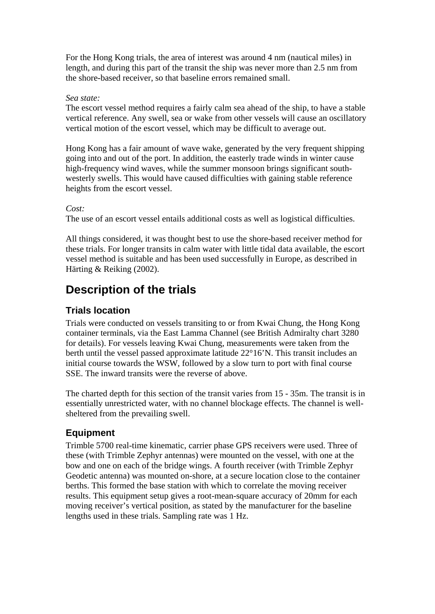For the Hong Kong trials, the area of interest was around 4 nm (nautical miles) in length, and during this part of the transit the ship was never more than 2.5 nm from the shore-based receiver, so that baseline errors remained small.

#### *Sea state:*

The escort vessel method requires a fairly calm sea ahead of the ship, to have a stable vertical reference. Any swell, sea or wake from other vessels will cause an oscillatory vertical motion of the escort vessel, which may be difficult to average out.

Hong Kong has a fair amount of wave wake, generated by the very frequent shipping going into and out of the port. In addition, the easterly trade winds in winter cause high-frequency wind waves, while the summer monsoon brings significant southwesterly swells. This would have caused difficulties with gaining stable reference heights from the escort vessel.

#### *Cost:*

The use of an escort vessel entails additional costs as well as logistical difficulties.

All things considered, it was thought best to use the shore-based receiver method for these trials. For longer transits in calm water with little tidal data available, the escort vessel method is suitable and has been used successfully in Europe, as described in Härting & Reiking (2002).

# **Description of the trials**

## **Trials location**

Trials were conducted on vessels transiting to or from Kwai Chung, the Hong Kong container terminals, via the East Lamma Channel (see British Admiralty chart 3280 for details). For vessels leaving Kwai Chung, measurements were taken from the berth until the vessel passed approximate latitude 22°16'N. This transit includes an initial course towards the WSW, followed by a slow turn to port with final course SSE. The inward transits were the reverse of above.

The charted depth for this section of the transit varies from 15 - 35m. The transit is in essentially unrestricted water, with no channel blockage effects. The channel is wellsheltered from the prevailing swell.

### **Equipment**

Trimble 5700 real-time kinematic, carrier phase GPS receivers were used. Three of these (with Trimble Zephyr antennas) were mounted on the vessel, with one at the bow and one on each of the bridge wings. A fourth receiver (with Trimble Zephyr Geodetic antenna) was mounted on-shore, at a secure location close to the container berths. This formed the base station with which to correlate the moving receiver results. This equipment setup gives a root-mean-square accuracy of 20mm for each moving receiver's vertical position, as stated by the manufacturer for the baseline lengths used in these trials. Sampling rate was 1 Hz.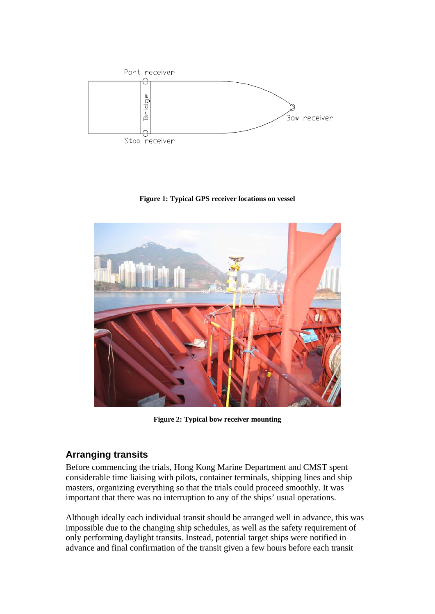

**Figure 1: Typical GPS receiver locations on vessel** 



**Figure 2: Typical bow receiver mounting** 

### **Arranging transits**

Before commencing the trials, Hong Kong Marine Department and CMST spent considerable time liaising with pilots, container terminals, shipping lines and ship masters, organizing everything so that the trials could proceed smoothly. It was important that there was no interruption to any of the ships' usual operations.

Although ideally each individual transit should be arranged well in advance, this was impossible due to the changing ship schedules, as well as the safety requirement of only performing daylight transits. Instead, potential target ships were notified in advance and final confirmation of the transit given a few hours before each transit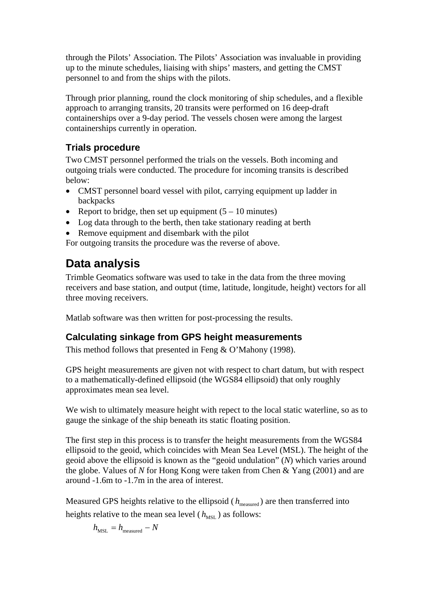through the Pilots' Association. The Pilots' Association was invaluable in providing up to the minute schedules, liaising with ships' masters, and getting the CMST personnel to and from the ships with the pilots.

Through prior planning, round the clock monitoring of ship schedules, and a flexible approach to arranging transits, 20 transits were performed on 16 deep-draft containerships over a 9-day period. The vessels chosen were among the largest containerships currently in operation.

## **Trials procedure**

Two CMST personnel performed the trials on the vessels. Both incoming and outgoing trials were conducted. The procedure for incoming transits is described below:

- CMST personnel board vessel with pilot, carrying equipment up ladder in backpacks
- Report to bridge, then set up equipment  $(5 10 \text{ minutes})$
- Log data through to the berth, then take stationary reading at berth
- Remove equipment and disembark with the pilot

For outgoing transits the procedure was the reverse of above.

# **Data analysis**

Trimble Geomatics software was used to take in the data from the three moving receivers and base station, and output (time, latitude, longitude, height) vectors for all three moving receivers.

Matlab software was then written for post-processing the results.

## **Calculating sinkage from GPS height measurements**

This method follows that presented in Feng & O'Mahony (1998).

GPS height measurements are given not with respect to chart datum, but with respect to a mathematically-defined ellipsoid (the WGS84 ellipsoid) that only roughly approximates mean sea level.

We wish to ultimately measure height with repect to the local static waterline, so as to gauge the sinkage of the ship beneath its static floating position.

The first step in this process is to transfer the height measurements from the WGS84 ellipsoid to the geoid, which coincides with Mean Sea Level (MSL). The height of the geoid above the ellipsoid is known as the "geoid undulation" (*N*) which varies around the globe. Values of *N* for Hong Kong were taken from Chen & Yang (2001) and are around -1.6m to -1.7m in the area of interest.

Measured GPS heights relative to the ellipsoid ( $h_{\text{measured}}$ ) are then transferred into heights relative to the mean sea level ( $h_{\text{MST}}$ ) as follows:

 $h_{\text{MSL}} = h_{\text{measured}} - N$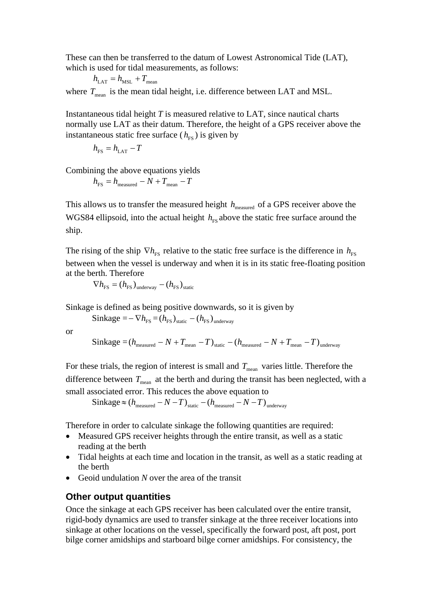These can then be transferred to the datum of Lowest Astronomical Tide (LAT), which is used for tidal measurements, as follows:

$$
h_{\text{LAT}} = h_{\text{MSL}} + T_{\text{mean}}
$$

where  $T_{\text{mean}}$  is the mean tidal height, i.e. difference between LAT and MSL.

Instantaneous tidal height *T* is measured relative to LAT, since nautical charts normally use LAT as their datum. Therefore, the height of a GPS receiver above the instantaneous static free surface  $(h_{FS})$  is given by

$$
h_{\rm FS}=h_{\rm LAT}-T
$$

Combining the above equations yields

$$
h_{\rm FS}=h_{\rm measured}-N+T_{\rm mean}-T
$$

This allows us to transfer the measured height  $h_{\text{measured}}$  of a GPS receiver above the WGS84 ellipsoid, into the actual height  $h<sub>FS</sub>$  above the static free surface around the ship.

The rising of the ship  $\nabla h_{\text{FS}}$  relative to the static free surface is the difference in  $h_{\text{FS}}$ between when the vessel is underway and when it is in its static free-floating position at the berth. Therefore

 $\nabla h_{\rm FS} = (h_{\rm FS})_{\rm underway} - (h_{\rm FS})_{\rm static}$ 

Sinkage is defined as being positive downwards, so it is given by

$$
Sinkage = -\nabla h_{FS} = (h_{FS})_{static} - (h_{FS})_{underway}
$$

or

$$
Sinkage = (h_{\text{measured}} - N + T_{\text{mean}} - T)_{\text{static}} - (h_{\text{measured}} - N + T_{\text{mean}} - T)_{\text{underway}}
$$

For these trials, the region of interest is small and  $T_{\text{mean}}$  varies little. Therefore the difference between  $T_{\text{mean}}$  at the berth and during the transit has been neglected, with a small associated error. This reduces the above equation to

 $\text{Sinkage} \approx (h_{\text{measured}} - N - T)_{\text{static}} - (h_{\text{measured}} - N - T)_{\text{underway}}$ 

Therefore in order to calculate sinkage the following quantities are required:

- Measured GPS receiver heights through the entire transit, as well as a static reading at the berth
- Tidal heights at each time and location in the transit, as well as a static reading at the berth
- Geoid undulation *N* over the area of the transit

#### **Other output quantities**

Once the sinkage at each GPS receiver has been calculated over the entire transit, rigid-body dynamics are used to transfer sinkage at the three receiver locations into sinkage at other locations on the vessel, specifically the forward post, aft post, port bilge corner amidships and starboard bilge corner amidships. For consistency, the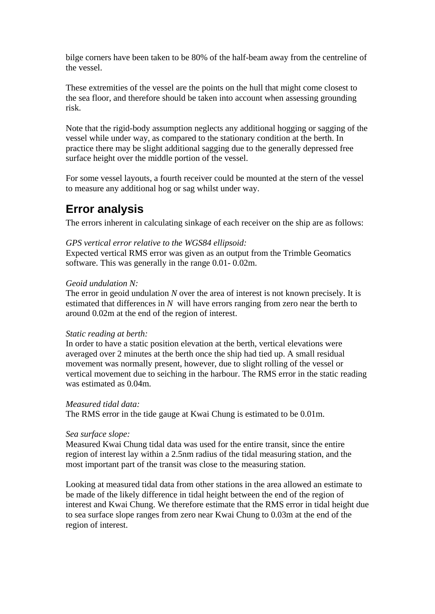bilge corners have been taken to be 80% of the half-beam away from the centreline of the vessel.

These extremities of the vessel are the points on the hull that might come closest to the sea floor, and therefore should be taken into account when assessing grounding risk.

Note that the rigid-body assumption neglects any additional hogging or sagging of the vessel while under way, as compared to the stationary condition at the berth. In practice there may be slight additional sagging due to the generally depressed free surface height over the middle portion of the vessel.

For some vessel layouts, a fourth receiver could be mounted at the stern of the vessel to measure any additional hog or sag whilst under way.

## **Error analysis**

The errors inherent in calculating sinkage of each receiver on the ship are as follows:

#### *GPS vertical error relative to the WGS84 ellipsoid:*

Expected vertical RMS error was given as an output from the Trimble Geomatics software. This was generally in the range 0.01- 0.02m.

#### *Geoid undulation N:*

The error in geoid undulation *N* over the area of interest is not known precisely. It is estimated that differences in *N* will have errors ranging from zero near the berth to around 0.02m at the end of the region of interest.

#### *Static reading at berth:*

In order to have a static position elevation at the berth, vertical elevations were averaged over 2 minutes at the berth once the ship had tied up. A small residual movement was normally present, however, due to slight rolling of the vessel or vertical movement due to seiching in the harbour. The RMS error in the static reading was estimated as 0.04m.

#### *Measured tidal data:*

The RMS error in the tide gauge at Kwai Chung is estimated to be 0.01m.

#### *Sea surface slope:*

Measured Kwai Chung tidal data was used for the entire transit, since the entire region of interest lay within a 2.5nm radius of the tidal measuring station, and the most important part of the transit was close to the measuring station.

Looking at measured tidal data from other stations in the area allowed an estimate to be made of the likely difference in tidal height between the end of the region of interest and Kwai Chung. We therefore estimate that the RMS error in tidal height due to sea surface slope ranges from zero near Kwai Chung to 0.03m at the end of the region of interest.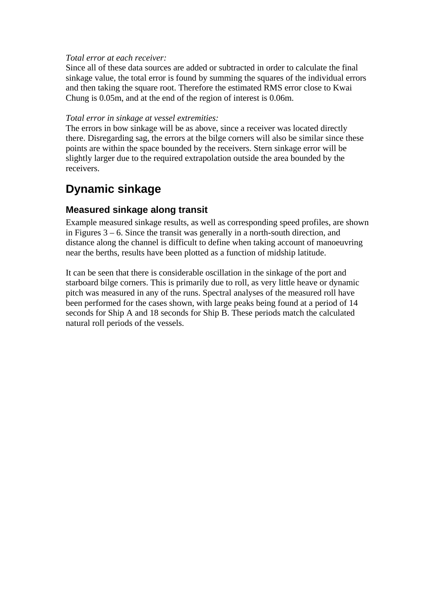#### *Total error at each receiver:*

Since all of these data sources are added or subtracted in order to calculate the final sinkage value, the total error is found by summing the squares of the individual errors and then taking the square root. Therefore the estimated RMS error close to Kwai Chung is 0.05m, and at the end of the region of interest is 0.06m.

#### *Total error in sinkage at vessel extremities:*

The errors in bow sinkage will be as above, since a receiver was located directly there. Disregarding sag, the errors at the bilge corners will also be similar since these points are within the space bounded by the receivers. Stern sinkage error will be slightly larger due to the required extrapolation outside the area bounded by the receivers.

# **Dynamic sinkage**

## **Measured sinkage along transit**

Example measured sinkage results, as well as corresponding speed profiles, are shown in Figures 3 – 6. Since the transit was generally in a north-south direction, and distance along the channel is difficult to define when taking account of manoeuvring near the berths, results have been plotted as a function of midship latitude.

It can be seen that there is considerable oscillation in the sinkage of the port and starboard bilge corners. This is primarily due to roll, as very little heave or dynamic pitch was measured in any of the runs. Spectral analyses of the measured roll have been performed for the cases shown, with large peaks being found at a period of 14 seconds for Ship A and 18 seconds for Ship B. These periods match the calculated natural roll periods of the vessels.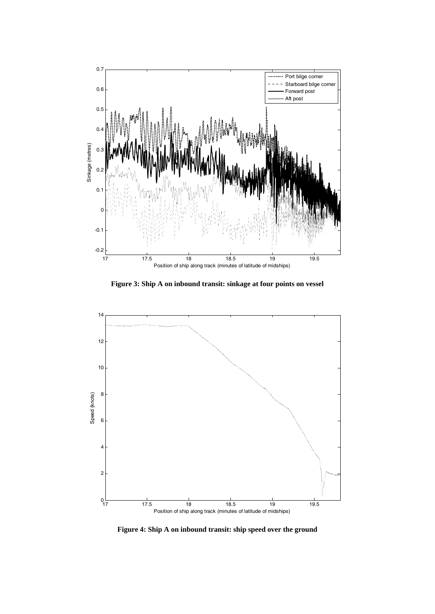

**Figure 3: Ship A on inbound transit: sinkage at four points on vessel** 



**Figure 4: Ship A on inbound transit: ship speed over the ground**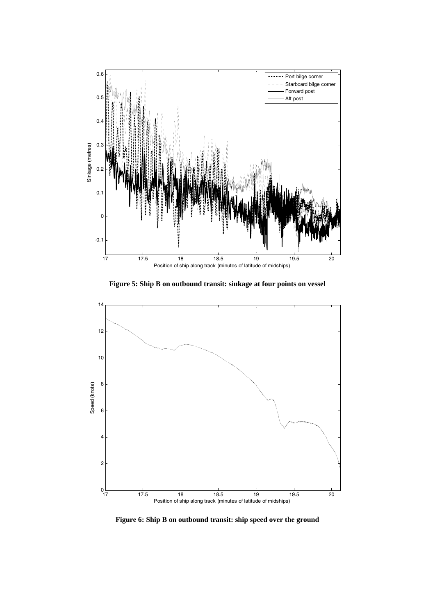

**Figure 5: Ship B on outbound transit: sinkage at four points on vessel** 



**Figure 6: Ship B on outbound transit: ship speed over the ground**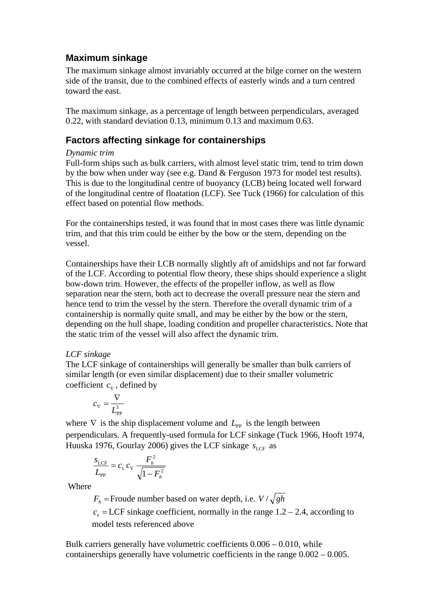## **Maximum sinkage**

The maximum sinkage almost invariably occurred at the bilge corner on the western side of the transit, due to the combined effects of easterly winds and a turn centred toward the east.

The maximum sinkage, as a percentage of length between perpendiculars, averaged 0.22, with standard deviation 0.13, minimum 0.13 and maximum 0.63.

## **Factors affecting sinkage for containerships**

### *Dynamic trim*

Full-form ships such as bulk carriers, with almost level static trim, tend to trim down by the bow when under way (see e.g. Dand & Ferguson 1973 for model test results). This is due to the longitudinal centre of buoyancy (LCB) being located well forward of the longitudinal centre of floatation (LCF). See Tuck (1966) for calculation of this effect based on potential flow methods.

For the containerships tested, it was found that in most cases there was little dynamic trim, and that this trim could be either by the bow or the stern, depending on the vessel.

Containerships have their LCB normally slightly aft of amidships and not far forward of the LCF. According to potential flow theory, these ships should experience a slight bow-down trim. However, the effects of the propeller inflow, as well as flow separation near the stern, both act to decrease the overall pressure near the stern and hence tend to trim the vessel by the stern. Therefore the overall dynamic trim of a containership is normally quite small, and may be either by the bow or the stern, depending on the hull shape, loading condition and propeller characteristics. Note that the static trim of the vessel will also affect the dynamic trim.

### *LCF sinkage*

The LCF sinkage of containerships will generally be smaller than bulk carriers of similar length (or even similar displacement) due to their smaller volumetric coefficient  $c_{\nabla}$ , defined by

$$
c_{\nabla} = \frac{\nabla}{L_{\text{PP}}^3}
$$

where  $∇$  is the ship displacement volume and  $L_{\text{PP}}$  is the length between perpendiculars. A frequently-used formula for LCF sinkage (Tuck 1966, Hooft 1974, Huuska 1976, Gourlay 2006) gives the LCF sinkage  $s_{\text{LCF}}$  as

$$
\frac{S_{\text{LCF}}}{L_{\text{PP}}} = c_{\text{s}} \, c_{\text{v}} \, \frac{F_h^2}{\sqrt{1 - F_h^2}}
$$

Where

 $F_h$  = Froude number based on water depth, i.e.  $V / \sqrt{gh}$ 

 $c<sub>s</sub> = LCF$  sinkage coefficient, normally in the range  $1.2 - 2.4$ , according to model tests referenced above

Bulk carriers generally have volumetric coefficients 0.006 – 0.010, while containerships generally have volumetric coefficients in the range 0.002 – 0.005.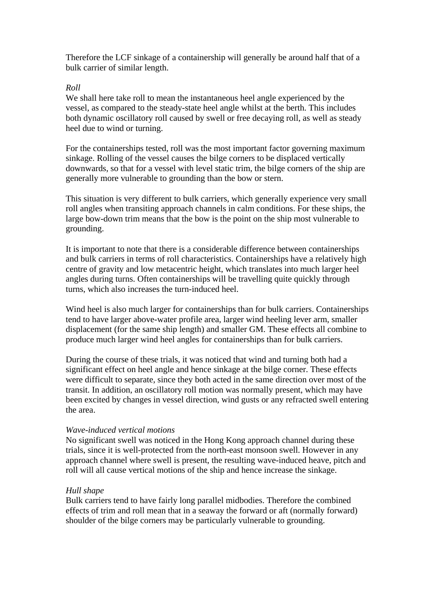Therefore the LCF sinkage of a containership will generally be around half that of a bulk carrier of similar length.

#### *Roll*

We shall here take roll to mean the instantaneous heel angle experienced by the vessel, as compared to the steady-state heel angle whilst at the berth. This includes both dynamic oscillatory roll caused by swell or free decaying roll, as well as steady heel due to wind or turning.

For the containerships tested, roll was the most important factor governing maximum sinkage. Rolling of the vessel causes the bilge corners to be displaced vertically downwards, so that for a vessel with level static trim, the bilge corners of the ship are generally more vulnerable to grounding than the bow or stern.

This situation is very different to bulk carriers, which generally experience very small roll angles when transiting approach channels in calm conditions. For these ships, the large bow-down trim means that the bow is the point on the ship most vulnerable to grounding.

It is important to note that there is a considerable difference between containerships and bulk carriers in terms of roll characteristics. Containerships have a relatively high centre of gravity and low metacentric height, which translates into much larger heel angles during turns. Often containerships will be travelling quite quickly through turns, which also increases the turn-induced heel.

Wind heel is also much larger for containerships than for bulk carriers. Containerships tend to have larger above-water profile area, larger wind heeling lever arm, smaller displacement (for the same ship length) and smaller GM. These effects all combine to produce much larger wind heel angles for containerships than for bulk carriers.

During the course of these trials, it was noticed that wind and turning both had a significant effect on heel angle and hence sinkage at the bilge corner. These effects were difficult to separate, since they both acted in the same direction over most of the transit. In addition, an oscillatory roll motion was normally present, which may have been excited by changes in vessel direction, wind gusts or any refracted swell entering the area.

#### *Wave-induced vertical motions*

No significant swell was noticed in the Hong Kong approach channel during these trials, since it is well-protected from the north-east monsoon swell. However in any approach channel where swell is present, the resulting wave-induced heave, pitch and roll will all cause vertical motions of the ship and hence increase the sinkage.

#### *Hull shape*

Bulk carriers tend to have fairly long parallel midbodies. Therefore the combined effects of trim and roll mean that in a seaway the forward or aft (normally forward) shoulder of the bilge corners may be particularly vulnerable to grounding.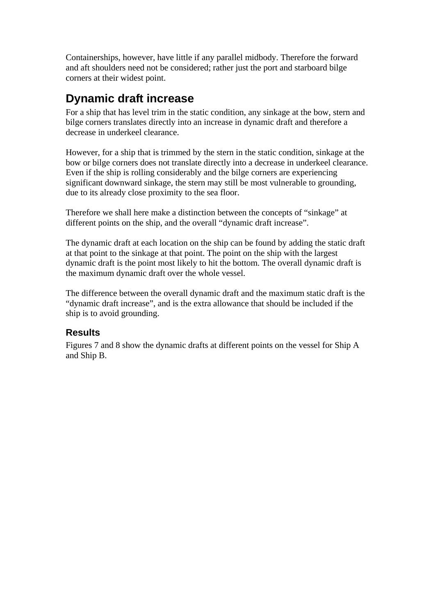Containerships, however, have little if any parallel midbody. Therefore the forward and aft shoulders need not be considered; rather just the port and starboard bilge corners at their widest point.

# **Dynamic draft increase**

For a ship that has level trim in the static condition, any sinkage at the bow, stern and bilge corners translates directly into an increase in dynamic draft and therefore a decrease in underkeel clearance.

However, for a ship that is trimmed by the stern in the static condition, sinkage at the bow or bilge corners does not translate directly into a decrease in underkeel clearance. Even if the ship is rolling considerably and the bilge corners are experiencing significant downward sinkage, the stern may still be most vulnerable to grounding, due to its already close proximity to the sea floor.

Therefore we shall here make a distinction between the concepts of "sinkage" at different points on the ship, and the overall "dynamic draft increase".

The dynamic draft at each location on the ship can be found by adding the static draft at that point to the sinkage at that point. The point on the ship with the largest dynamic draft is the point most likely to hit the bottom. The overall dynamic draft is the maximum dynamic draft over the whole vessel.

The difference between the overall dynamic draft and the maximum static draft is the "dynamic draft increase", and is the extra allowance that should be included if the ship is to avoid grounding.

### **Results**

Figures 7 and 8 show the dynamic drafts at different points on the vessel for Ship A and Ship B.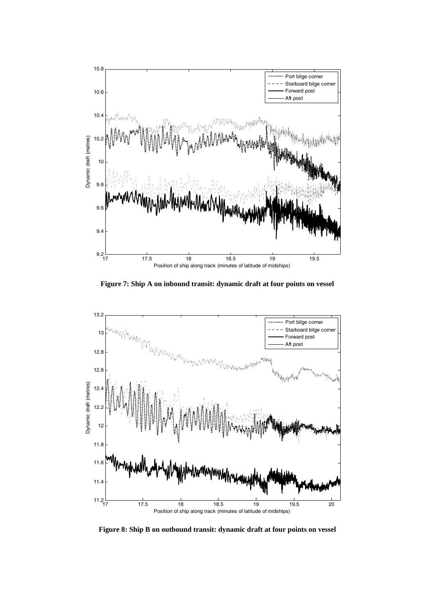

**Figure 7: Ship A on inbound transit: dynamic draft at four points on vessel**



**Figure 8: Ship B on outbound transit: dynamic draft at four points on vessel**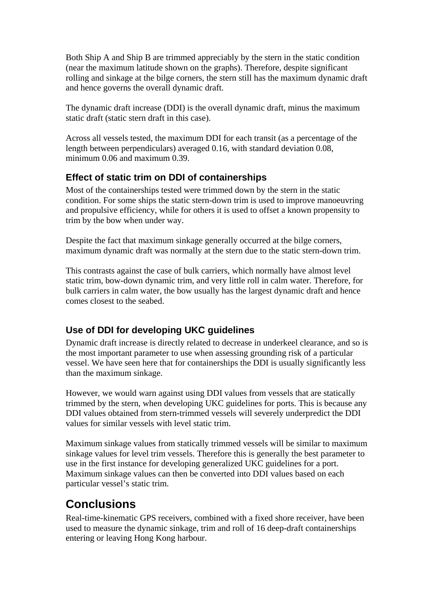Both Ship A and Ship B are trimmed appreciably by the stern in the static condition (near the maximum latitude shown on the graphs). Therefore, despite significant rolling and sinkage at the bilge corners, the stern still has the maximum dynamic draft and hence governs the overall dynamic draft.

The dynamic draft increase (DDI) is the overall dynamic draft, minus the maximum static draft (static stern draft in this case).

Across all vessels tested, the maximum DDI for each transit (as a percentage of the length between perpendiculars) averaged 0.16, with standard deviation 0.08, minimum 0.06 and maximum 0.39.

## **Effect of static trim on DDI of containerships**

Most of the containerships tested were trimmed down by the stern in the static condition. For some ships the static stern-down trim is used to improve manoeuvring and propulsive efficiency, while for others it is used to offset a known propensity to trim by the bow when under way.

Despite the fact that maximum sinkage generally occurred at the bilge corners, maximum dynamic draft was normally at the stern due to the static stern-down trim.

This contrasts against the case of bulk carriers, which normally have almost level static trim, bow-down dynamic trim, and very little roll in calm water. Therefore, for bulk carriers in calm water, the bow usually has the largest dynamic draft and hence comes closest to the seabed.

## **Use of DDI for developing UKC guidelines**

Dynamic draft increase is directly related to decrease in underkeel clearance, and so is the most important parameter to use when assessing grounding risk of a particular vessel. We have seen here that for containerships the DDI is usually significantly less than the maximum sinkage.

However, we would warn against using DDI values from vessels that are statically trimmed by the stern, when developing UKC guidelines for ports. This is because any DDI values obtained from stern-trimmed vessels will severely underpredict the DDI values for similar vessels with level static trim.

Maximum sinkage values from statically trimmed vessels will be similar to maximum sinkage values for level trim vessels. Therefore this is generally the best parameter to use in the first instance for developing generalized UKC guidelines for a port. Maximum sinkage values can then be converted into DDI values based on each particular vessel's static trim.

## **Conclusions**

Real-time-kinematic GPS receivers, combined with a fixed shore receiver, have been used to measure the dynamic sinkage, trim and roll of 16 deep-draft containerships entering or leaving Hong Kong harbour.